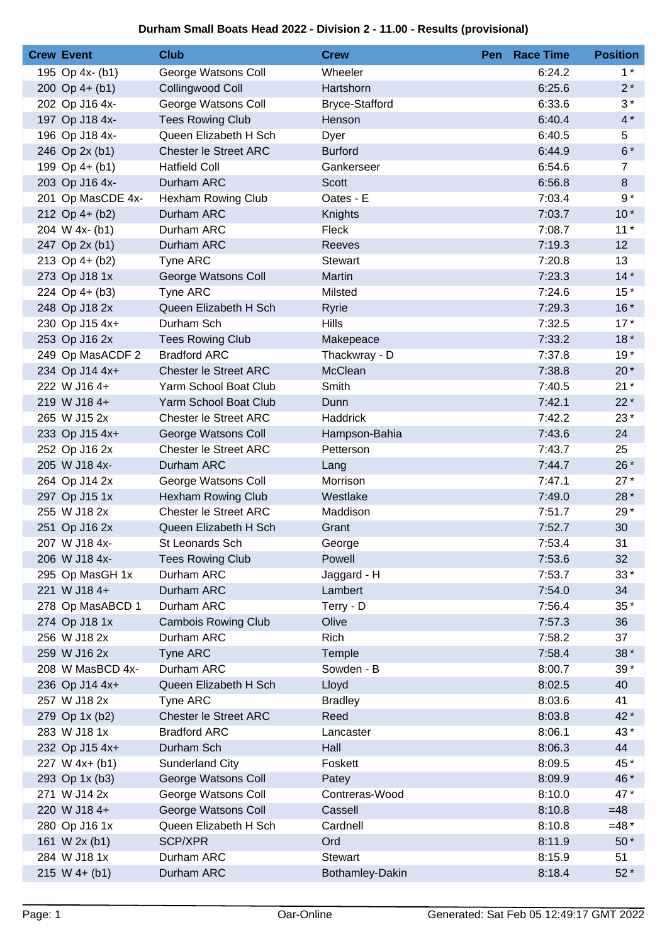## **Durham Small Boats Head 2022 - Division 2 - 11.00 - Results (provisional)**

| <b>Crew Event</b> | <b>Club</b>                  | <b>Crew</b>           | <b>Pen</b> Race Time | <b>Position</b> |
|-------------------|------------------------------|-----------------------|----------------------|-----------------|
| 195 Op 4x- (b1)   | George Watsons Coll          | Wheeler               | 6:24.2               | $1^*$           |
| 200 Op $4+$ (b1)  | Collingwood Coll             | Hartshorn             | 6:25.6               | $2^*$           |
| 202 Op J16 4x-    | George Watsons Coll          | <b>Bryce-Stafford</b> | 6:33.6               | $3*$            |
| 197 Op J18 4x-    | <b>Tees Rowing Club</b>      | Henson                | 6:40.4               | $4*$            |
| 196 Op J18 4x-    | Queen Elizabeth H Sch        | Dyer                  | 6:40.5               | 5               |
| 246 Op 2x (b1)    | <b>Chester le Street ARC</b> | <b>Burford</b>        | 6:44.9               | $6*$            |
| 199 Op 4+ (b1)    | <b>Hatfield Coll</b>         | Gankerseer            | 6:54.6               | $\overline{7}$  |
| 203 Op J16 4x-    | Durham ARC                   | Scott                 | 6:56.8               | $\bf 8$         |
| 201 Op MasCDE 4x- | <b>Hexham Rowing Club</b>    | Oates - E             | 7:03.4               | $9*$            |
| 212 Op 4+ (b2)    | Durham ARC                   | Knights               | 7:03.7               | $10*$           |
| 204 W 4x- (b1)    | Durham ARC                   | Fleck                 | 7:08.7               | $11*$           |
| 247 Op 2x (b1)    | Durham ARC                   | Reeves                | 7:19.3               | 12              |
| 213 Op 4+ (b2)    | Tyne ARC                     | <b>Stewart</b>        | 7:20.8               | 13              |
| 273 Op J18 1x     | George Watsons Coll          | <b>Martin</b>         | 7:23.3               | $14*$           |
| 224 Op $4+ (b3)$  | <b>Tyne ARC</b>              | Milsted               | 7:24.6               | $15*$           |
| 248 Op J18 2x     | Queen Elizabeth H Sch        | Ryrie                 | 7:29.3               | $16*$           |
| 230 Op J15 4x+    | Durham Sch                   | <b>Hills</b>          | 7:32.5               | $17*$           |
| 253 Op J16 2x     | <b>Tees Rowing Club</b>      | Makepeace             | 7:33.2               | $18*$           |
| 249 Op MasACDF 2  | <b>Bradford ARC</b>          | Thackwray - D         | 7:37.8               | $19*$           |
| 234 Op J14 4x+    | <b>Chester le Street ARC</b> | McClean               | 7:38.8               | $20*$           |
| 222 W J16 4+      | Yarm School Boat Club        | Smith                 | 7:40.5               | $21*$           |
| 219 W J18 4+      | Yarm School Boat Club        | Dunn                  | 7:42.1               | $22*$           |
| 265 W J15 2x      | Chester le Street ARC        | Haddrick              | 7:42.2               | $23*$           |
| 233 Op J15 4x+    | George Watsons Coll          | Hampson-Bahia         | 7:43.6               | 24              |
| 252 Op J16 2x     | <b>Chester le Street ARC</b> | Petterson             | 7:43.7               | 25              |
| 205 W J18 4x-     | Durham ARC                   | Lang                  | 7:44.7               | 26 *            |
| 264 Op J14 2x     | George Watsons Coll          | Morrison              | 7:47.1               | $27*$           |
| 297 Op J15 1x     | <b>Hexham Rowing Club</b>    | Westlake              | 7:49.0               | 28 *            |
| 255 W J18 2x      | Chester le Street ARC        | Maddison              | 7:51.7               | 29 *            |
| 251 Op J16 2x     | Queen Elizabeth H Sch        | Grant                 | 7:52.7               | 30              |
| 207 W J18 4x-     | St Leonards Sch              | George                | 7:53.4               | 31              |
| 206 W J18 4x-     | <b>Tees Rowing Club</b>      | Powell                | 7:53.6               | 32              |
| 295 Op MasGH 1x   | Durham ARC                   | Jaggard - H           | 7:53.7               | $33*$           |
| 221 W J18 4+      | Durham ARC                   | Lambert               | 7:54.0               | 34              |
| 278 Op MasABCD 1  | Durham ARC                   | Terry - D             | 7:56.4               | $35*$           |
| 274 Op J18 1x     | <b>Cambois Rowing Club</b>   | Olive                 | 7:57.3               | 36              |
| 256 W J18 2x      | Durham ARC                   | Rich                  | 7:58.2               | 37              |
| 259 W J16 2x      | <b>Tyne ARC</b>              | Temple                | 7:58.4               | 38 *            |
| 208 W MasBCD 4x-  | Durham ARC                   | Sowden - B            | 8:00.7               | $39*$           |
| 236 Op J14 4x+    | Queen Elizabeth H Sch        | Lloyd                 | 8:02.5               | 40              |
| 257 W J18 2x      | <b>Tyne ARC</b>              | <b>Bradley</b>        | 8:03.6               | 41              |
| 279 Op 1x (b2)    | <b>Chester le Street ARC</b> | Reed                  | 8:03.8               | 42 *            |
| 283 W J18 1x      | <b>Bradford ARC</b>          | Lancaster             | 8:06.1               | 43*             |
| 232 Op J15 4x+    | Durham Sch                   | Hall                  | 8:06.3               | 44              |
| 227 W $4x+ (b1)$  | <b>Sunderland City</b>       | Foskett               | 8:09.5               | 45*             |
| 293 Op 1x (b3)    | George Watsons Coll          | Patey                 | 8:09.9               | 46 *            |
| 271 W J14 2x      | George Watsons Coll          | Contreras-Wood        | 8:10.0               | 47*             |
| 220 W J18 4+      | George Watsons Coll          | Cassell               | 8:10.8               | $=48$           |
| 280 Op J16 1x     | Queen Elizabeth H Sch        | Cardnell              | 8:10.8               | $=48*$          |
| 161 W 2x (b1)     | <b>SCP/XPR</b>               | Ord                   | 8:11.9               | $50*$           |
| 284 W J18 1x      | Durham ARC                   | <b>Stewart</b>        | 8:15.9               | 51              |
| $215 W 4+ (b1)$   | Durham ARC                   | Bothamley-Dakin       | 8:18.4               | $52*$           |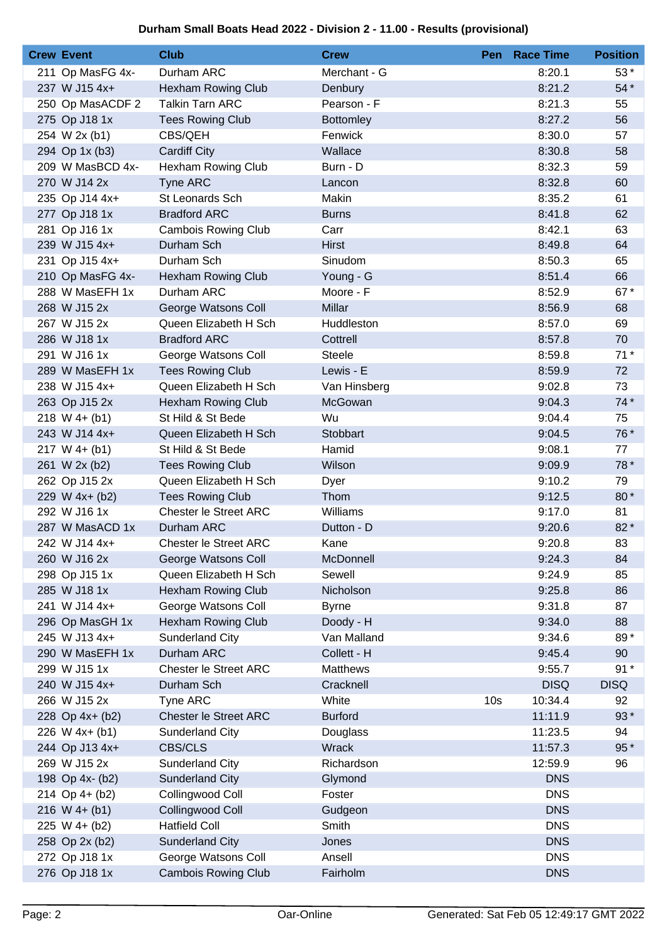## **Durham Small Boats Head 2022 - Division 2 - 11.00 - Results (provisional)**

| <b>Crew Event</b> | <b>Club</b>                  | <b>Crew</b>      |                 | <b>Pen</b> Race Time | <b>Position</b> |
|-------------------|------------------------------|------------------|-----------------|----------------------|-----------------|
| 211 Op MasFG 4x-  | Durham ARC                   | Merchant - G     |                 | 8:20.1               | $53*$           |
| 237 W J15 4x+     | <b>Hexham Rowing Club</b>    | Denbury          |                 | 8:21.2               | 54 *            |
| 250 Op MasACDF 2  | <b>Talkin Tarn ARC</b>       | Pearson - F      |                 | 8:21.3               | 55              |
| 275 Op J18 1x     | <b>Tees Rowing Club</b>      | <b>Bottomley</b> |                 | 8:27.2               | 56              |
| 254 W 2x (b1)     | CBS/QEH                      | Fenwick          |                 | 8:30.0               | 57              |
| 294 Op 1x (b3)    | <b>Cardiff City</b>          | Wallace          |                 | 8:30.8               | 58              |
| 209 W MasBCD 4x-  | <b>Hexham Rowing Club</b>    | Burn - D         |                 | 8:32.3               | 59              |
| 270 W J14 2x      | <b>Tyne ARC</b>              | Lancon           |                 | 8:32.8               | 60              |
| 235 Op J14 4x+    | St Leonards Sch              | Makin            |                 | 8:35.2               | 61              |
| 277 Op J18 1x     | <b>Bradford ARC</b>          | <b>Burns</b>     |                 | 8:41.8               | 62              |
| 281 Op J16 1x     | <b>Cambois Rowing Club</b>   | Carr             |                 | 8:42.1               | 63              |
| 239 W J15 4x+     | Durham Sch                   | <b>Hirst</b>     |                 | 8:49.8               | 64              |
| 231 Op J15 4x+    | Durham Sch                   | Sinudom          |                 | 8:50.3               | 65              |
| 210 Op MasFG 4x-  | <b>Hexham Rowing Club</b>    | Young - G        |                 | 8:51.4               | 66              |
| 288 W MasEFH 1x   | Durham ARC                   | Moore - F        |                 | 8:52.9               | 67*             |
| 268 W J15 2x      | George Watsons Coll          | Millar           |                 | 8:56.9               | 68              |
| 267 W J15 2x      | Queen Elizabeth H Sch        | Huddleston       |                 | 8:57.0               | 69              |
| 286 W J18 1x      | <b>Bradford ARC</b>          | Cottrell         |                 | 8:57.8               | 70              |
| 291 W J16 1x      | George Watsons Coll          | <b>Steele</b>    |                 | 8:59.8               | $71*$           |
| 289 W MasEFH 1x   | <b>Tees Rowing Club</b>      | Lewis - E        |                 | 8:59.9               | 72              |
| 238 W J15 4x+     | Queen Elizabeth H Sch        | Van Hinsberg     |                 | 9:02.8               | 73              |
| 263 Op J15 2x     | <b>Hexham Rowing Club</b>    | McGowan          |                 | 9:04.3               | $74*$           |
| $218 W 4+ (b1)$   | St Hild & St Bede            | Wu               |                 | 9:04.4               | 75              |
| 243 W J14 4x+     | Queen Elizabeth H Sch        | Stobbart         |                 | 9:04.5               | 76 *            |
| $217 W 4+ (b1)$   | St Hild & St Bede            | Hamid            |                 | 9:08.1               | 77              |
| 261 W 2x (b2)     | <b>Tees Rowing Club</b>      | Wilson           |                 | 9:09.9               | 78 *            |
| 262 Op J15 2x     | Queen Elizabeth H Sch        | Dyer             |                 | 9:10.2               | 79              |
| 229 W 4x+ (b2)    | <b>Tees Rowing Club</b>      | Thom             |                 | 9:12.5               | 80*             |
| 292 W J16 1x      | Chester le Street ARC        | Williams         |                 | 9:17.0               | 81              |
| 287 W MasACD 1x   | Durham ARC                   | Dutton - D       |                 | 9:20.6               | 82*             |
| 242 W J14 4x+     | Chester le Street ARC        | Kane             |                 | 9:20.8               | 83              |
| 260 W J16 2x      | George Watsons Coll          | <b>McDonnell</b> |                 | 9:24.3               | 84              |
| 298 Op J15 1x     | Queen Elizabeth H Sch        | Sewell           |                 | 9:24.9               | 85              |
| 285 W J18 1x      | Hexham Rowing Club           | Nicholson        |                 | 9:25.8               | 86              |
| 241 W J14 4x+     | George Watsons Coll          | <b>Byrne</b>     |                 | 9:31.8               | 87              |
| 296 Op MasGH 1x   | Hexham Rowing Club           | Doody - H        |                 | 9:34.0               | 88              |
| 245 W J13 4x+     | <b>Sunderland City</b>       | Van Malland      |                 | 9:34.6               | 89*             |
| 290 W MasEFH 1x   | Durham ARC                   | Collett - H      |                 | 9:45.4               | 90              |
| 299 W J15 1x      | <b>Chester le Street ARC</b> | <b>Matthews</b>  |                 | 9:55.7               | $91*$           |
| 240 W J15 4x+     | Durham Sch                   | Cracknell        |                 | <b>DISQ</b>          | <b>DISQ</b>     |
| 266 W J15 2x      | <b>Tyne ARC</b>              | White            | 10 <sub>s</sub> | 10:34.4              | 92              |
| 228 Op 4x+ (b2)   | <b>Chester le Street ARC</b> | <b>Burford</b>   |                 | 11:11.9              | 93*             |
| 226 W 4x+ (b1)    | <b>Sunderland City</b>       | Douglass         |                 | 11:23.5              | 94              |
| 244 Op J13 4x+    | <b>CBS/CLS</b>               | <b>Wrack</b>     |                 | 11:57.3              | 95*             |
| 269 W J15 2x      | <b>Sunderland City</b>       | Richardson       |                 | 12:59.9              | 96              |
| 198 Op 4x- (b2)   | <b>Sunderland City</b>       | Glymond          |                 | <b>DNS</b>           |                 |
| 214 Op 4+ (b2)    | Collingwood Coll             | Foster           |                 | <b>DNS</b>           |                 |
| $216 W 4+ (b1)$   | Collingwood Coll             | Gudgeon          |                 | <b>DNS</b>           |                 |
| $225 W 4+ (b2)$   | <b>Hatfield Coll</b>         | Smith            |                 | <b>DNS</b>           |                 |
| 258 Op 2x (b2)    | <b>Sunderland City</b>       | Jones            |                 | <b>DNS</b>           |                 |
| 272 Op J18 1x     | George Watsons Coll          | Ansell           |                 | <b>DNS</b>           |                 |
| 276 Op J18 1x     | <b>Cambois Rowing Club</b>   | Fairholm         |                 | <b>DNS</b>           |                 |
|                   |                              |                  |                 |                      |                 |